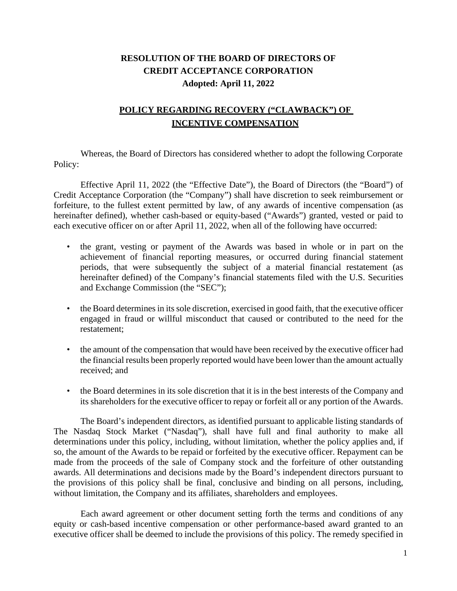## **RESOLUTION OF THE BOARD OF DIRECTORS OF CREDIT ACCEPTANCE CORPORATION Adopted: April 11, 2022**

## **POLICY REGARDING RECOVERY ("CLAWBACK") OF INCENTIVE COMPENSATION**

Whereas, the Board of Directors has considered whether to adopt the following Corporate Policy:

Effective April 11, 2022 (the "Effective Date"), the Board of Directors (the "Board") of Credit Acceptance Corporation (the "Company") shall have discretion to seek reimbursement or forfeiture, to the fullest extent permitted by law, of any awards of incentive compensation (as hereinafter defined), whether cash-based or equity-based ("Awards") granted, vested or paid to each executive officer on or after April 11, 2022, when all of the following have occurred:

- the grant, vesting or payment of the Awards was based in whole or in part on the achievement of financial reporting measures, or occurred during financial statement periods, that were subsequently the subject of a material financial restatement (as hereinafter defined) of the Company's financial statements filed with the U.S. Securities and Exchange Commission (the "SEC");
- the Board determines in its sole discretion, exercised in good faith, that the executive officer engaged in fraud or willful misconduct that caused or contributed to the need for the restatement;
- the amount of the compensation that would have been received by the executive officer had the financial results been properly reported would have been lower than the amount actually received; and
- the Board determines in its sole discretion that it is in the best interests of the Company and its shareholders for the executive officer to repay or forfeit all or any portion of the Awards.

The Board's independent directors, as identified pursuant to applicable listing standards of The Nasdaq Stock Market ("Nasdaq"), shall have full and final authority to make all determinations under this policy, including, without limitation, whether the policy applies and, if so, the amount of the Awards to be repaid or forfeited by the executive officer. Repayment can be made from the proceeds of the sale of Company stock and the forfeiture of other outstanding awards. All determinations and decisions made by the Board's independent directors pursuant to the provisions of this policy shall be final, conclusive and binding on all persons, including, without limitation, the Company and its affiliates, shareholders and employees.

Each award agreement or other document setting forth the terms and conditions of any equity or cash-based incentive compensation or other performance-based award granted to an executive officer shall be deemed to include the provisions of this policy. The remedy specified in